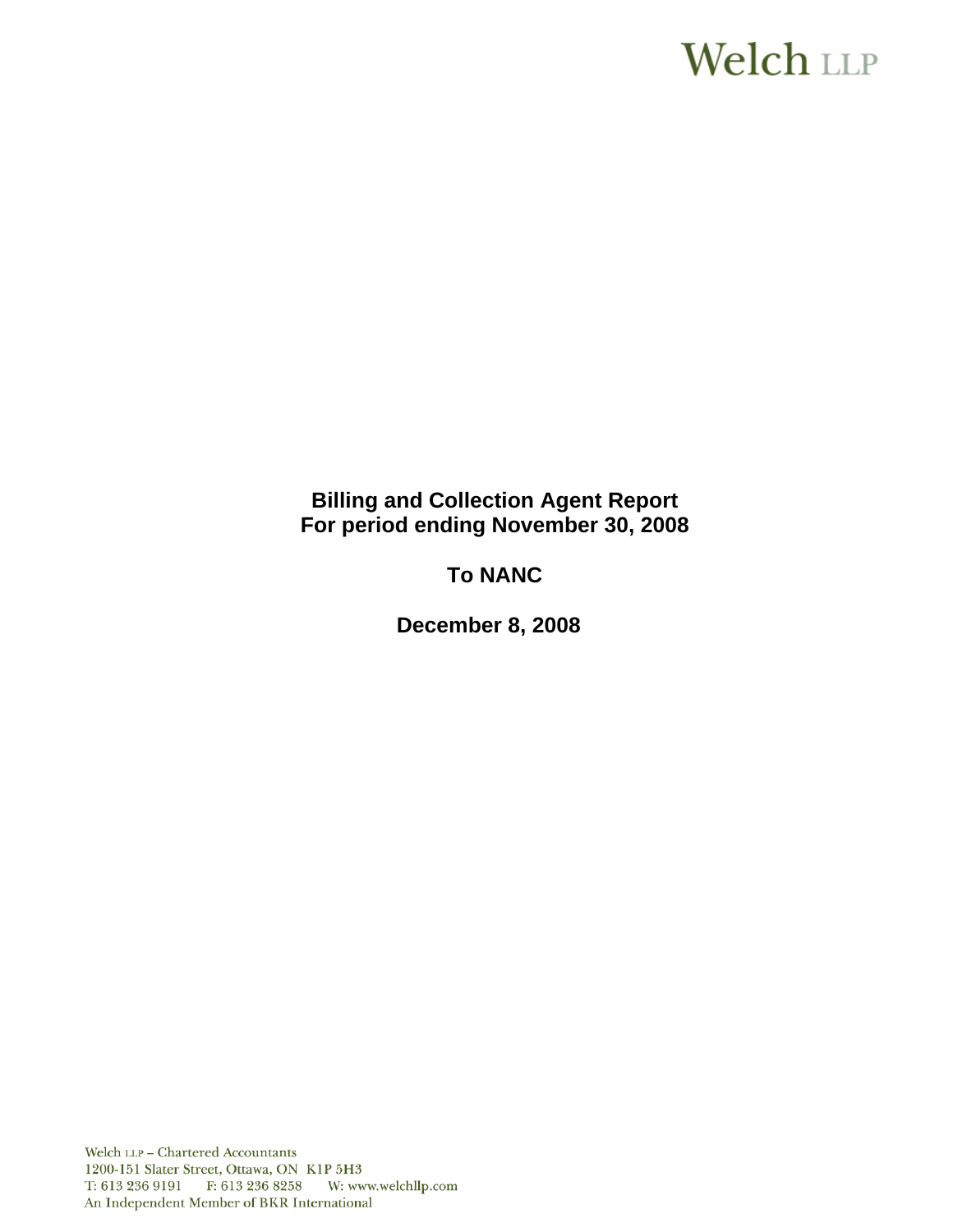# **Welch LLP**

## **Billing and Collection Agent Report For period ending November 30, 2008**

## **To NANC**

**December 8, 2008**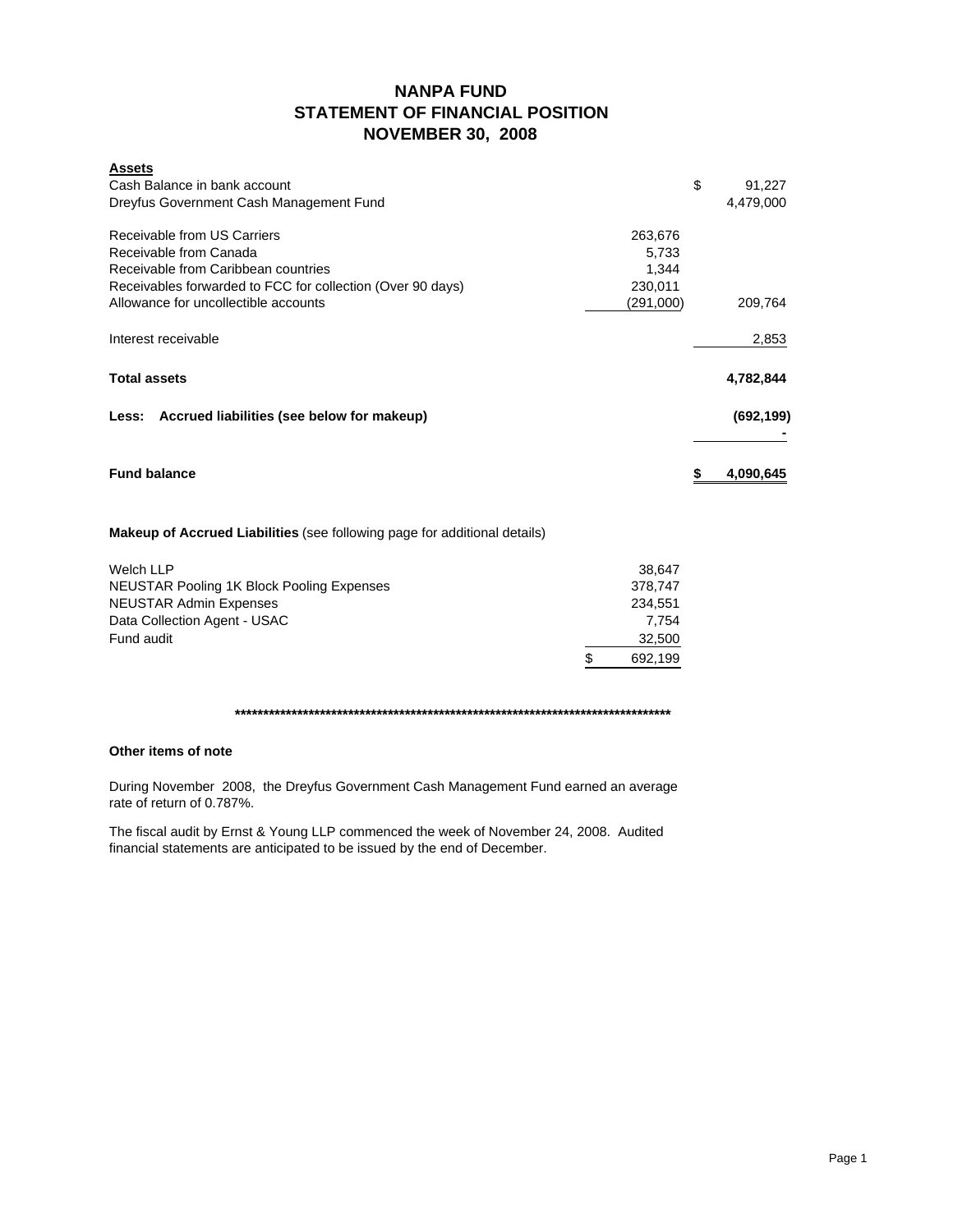## **NANPA FUND STATEMENT OF FINANCIAL POSITION NOVEMBER 30, 2008**

| <b>Assets</b>                                                                                                                                                                                                                                                                                                                      |           |            |
|------------------------------------------------------------------------------------------------------------------------------------------------------------------------------------------------------------------------------------------------------------------------------------------------------------------------------------|-----------|------------|
| Cash Balance in bank account                                                                                                                                                                                                                                                                                                       | \$        | 91,227     |
| Dreyfus Government Cash Management Fund                                                                                                                                                                                                                                                                                            |           | 4,479,000  |
| Receivable from US Carriers                                                                                                                                                                                                                                                                                                        | 263,676   |            |
| Receivable from Canada                                                                                                                                                                                                                                                                                                             | 5,733     |            |
| Receivable from Caribbean countries                                                                                                                                                                                                                                                                                                | 1,344     |            |
| Receivables forwarded to FCC for collection (Over 90 days)                                                                                                                                                                                                                                                                         | 230,011   |            |
| Allowance for uncollectible accounts                                                                                                                                                                                                                                                                                               | (291,000) | 209,764    |
| Interest receivable                                                                                                                                                                                                                                                                                                                |           | 2,853      |
| <b>Total assets</b>                                                                                                                                                                                                                                                                                                                |           | 4,782,844  |
| Less: Accrued liabilities (see below for makeup)                                                                                                                                                                                                                                                                                   |           | (692, 199) |
| <b>Fund balance</b>                                                                                                                                                                                                                                                                                                                | \$        | 4,090,645  |
| <b>Makeup of Accrued Liabilities</b> (see following page for additional details)                                                                                                                                                                                                                                                   |           |            |
| <b>Welch LLP</b>                                                                                                                                                                                                                                                                                                                   | 38,647    |            |
| $\mathbf{A}$ $\mathbf{F}$ $\mathbf{I}$ $\mathbf{O}$ $\mathbf{F}$ $\mathbf{A}$ $\mathbf{D}$ $\mathbf{A}$ $\mathbf{A}$ $\mathbf{I}$ $\mathbf{I}$ $\mathbf{D}$ $\mathbf{A}$ $\mathbf{I}$ $\mathbf{D}$ $\mathbf{A}$ $\mathbf{I}$ $\mathbf{D}$ $\mathbf{A}$ $\mathbf{I}$ $\mathbf{I}$ $\mathbf{A}$ $\mathbf{I}$ $\mathbf{I}$ $\mathbf{$ | 270.717   |            |

| <b>WEIGH LLF</b>                          | <b>JU.U+1</b> |
|-------------------------------------------|---------------|
| NEUSTAR Pooling 1K Block Pooling Expenses | 378.747       |
| NEUSTAR Admin Expenses                    | 234.551       |
| Data Collection Agent - USAC              | 7.754         |
| Fund audit                                | 32,500        |
|                                           | 692,199       |
|                                           |               |

**\*\*\*\*\*\*\*\*\*\*\*\*\*\*\*\*\*\*\*\*\*\*\*\*\*\*\*\*\*\*\*\*\*\*\*\*\*\*\*\*\*\*\*\*\*\*\*\*\*\*\*\*\*\*\*\*\*\*\*\*\*\*\*\*\*\*\*\*\*\*\*\*\*\*\*\*\***

## **Other items of note**

During November 2008, the Dreyfus Government Cash Management Fund earned an average rate of return of 0.787%.

The fiscal audit by Ernst & Young LLP commenced the week of November 24, 2008. Audited financial statements are anticipated to be issued by the end of December.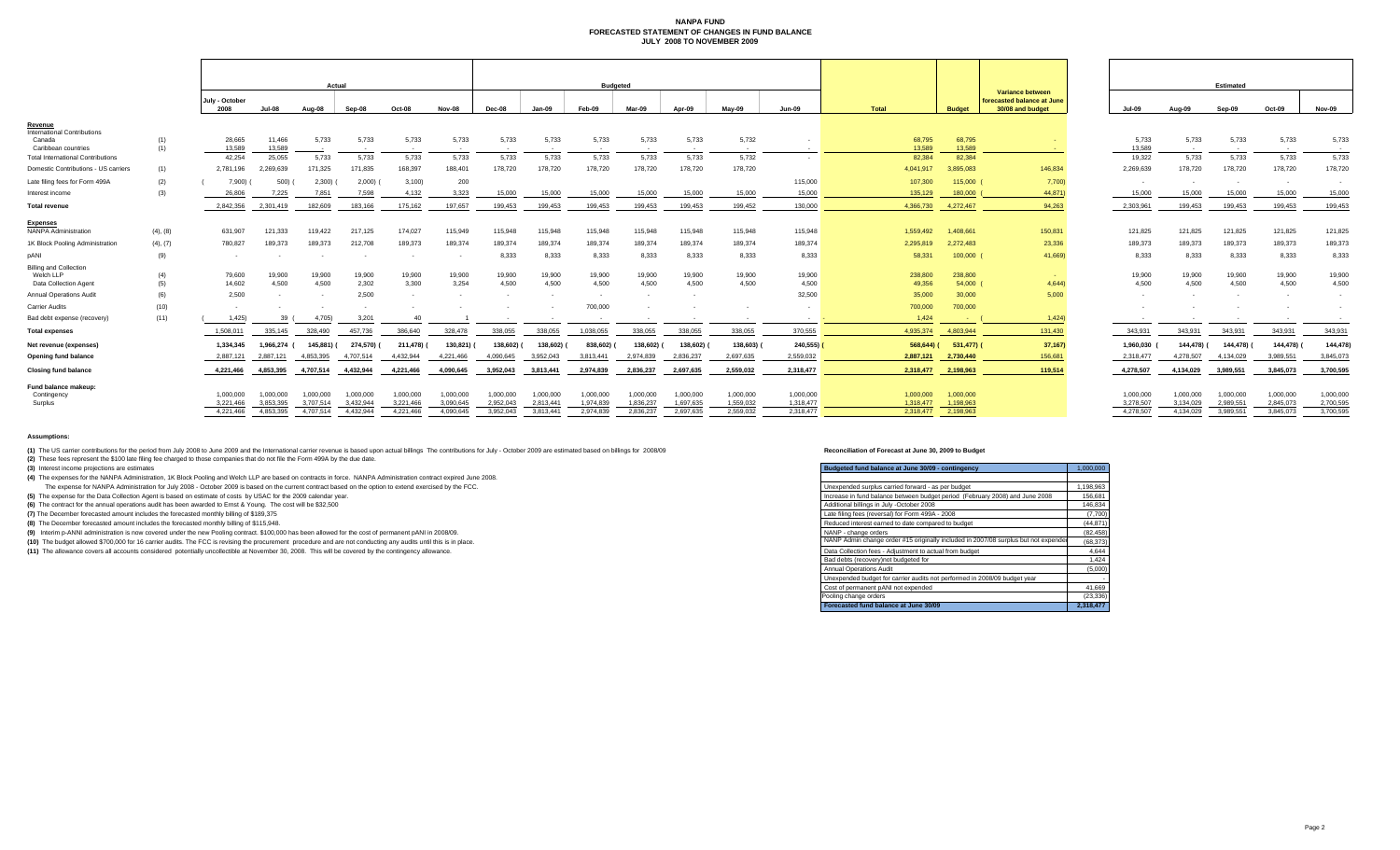#### **NANPA FUND FORECASTED STATEMENT OF CHANGES IN FUND BALANCEJULY 2008 TO NOVEMBER 2009**

|                                                                                       |            | Actual                              |                                     |                                     |                                     | <b>Budgeted</b>                     |                                     |                                     |                                     |                                     |                                     |                                     |                                     |                                     |                                     | Estimated                           |                                                                    |                                     |                                     |                                     |                                     |                                     |
|---------------------------------------------------------------------------------------|------------|-------------------------------------|-------------------------------------|-------------------------------------|-------------------------------------|-------------------------------------|-------------------------------------|-------------------------------------|-------------------------------------|-------------------------------------|-------------------------------------|-------------------------------------|-------------------------------------|-------------------------------------|-------------------------------------|-------------------------------------|--------------------------------------------------------------------|-------------------------------------|-------------------------------------|-------------------------------------|-------------------------------------|-------------------------------------|
|                                                                                       |            | July - October<br>2008              | <b>Jul-08</b>                       | Aug-08                              | Sep-08                              | Oct-08                              | Nov-08                              | Dec-08                              | Jan-09                              | Feb-09                              | Mar-09                              | Apr-09                              | Mav-09                              | <b>Jun-09</b>                       | Total                               | <b>Budget</b>                       | Variance between<br>forecasted balance at June<br>30/08 and budget | <b>Jul-09</b>                       | Aug-09                              | Sep-09                              | Oct-09                              | <b>Nov-09</b>                       |
| <u>Revenue</u><br><b>International Contributions</b><br>Canada<br>Caribbean countries | (1)<br>(1) | 28,665<br>13,589                    | 11,466<br>13,589                    | 5,733                               | 5,733<br>$\sim$                     | 5,733<br>$\sim$                     | 5,733<br>$\sim$                     | 5,733<br>$\sim$ 100 $\mu$           | 5,733<br>$\sim$                     | 5,733<br>$\sim$                     | 5,733<br>$\sim$                     | 5,733<br>$\sim$                     | 5,732<br>$\sim$                     |                                     | 68,795<br>13,589                    | 68,795<br>13,589                    |                                                                    | 5,733<br>13,589                     | 5,733<br>$\sim$                     | 5,733<br>$\sim$                     | 5,733<br>$\sim$ 100 $\mu$           | 5,733<br>$\sim$                     |
| <b>Total International Contributions</b>                                              |            | 42,254                              | 25,055                              | 5,733                               | 5,733                               | 5,733                               | 5,733                               | 5,733                               | 5,733                               | 5,733                               | 5,733                               | 5,733                               | 5,732                               |                                     | 82,384                              | 82,384                              |                                                                    | 19,322                              | 5,733                               | 5,733                               | 5,733                               | 5,733                               |
| Domestic Contributions - US carriers                                                  | (1)        | 2.781.196                           | 2.269.639                           | 171.325                             | 171.835                             | 168,397                             | 188,401                             | 178,720                             | 178,720                             | 178,720                             | 178,720                             | 178,720                             | 178,720                             |                                     | 4.041.917                           | 3.895.083                           | 146,834                                                            | 2,269,639                           | 178,720                             | 178,720                             | 178,720                             | 178,720                             |
| Late filing fees for Form 499A                                                        | (2)        | 7,900)                              | 500)                                | 2,300                               | 2,000                               | 3,100                               | 200                                 |                                     |                                     |                                     |                                     |                                     |                                     | 115,000                             | 107,300                             | 115,000 (                           | 7,700)                                                             |                                     | $\sim$                              | $\sim$                              |                                     |                                     |
| Interest income                                                                       | (3)        | 26,806                              | 7.225                               | 7.851                               | 7.598                               | 4.132                               | 3,323                               | 15,000                              | 15,000                              | 15,000                              | 15,000                              | 15,000                              | 15,000                              | 15,000                              | 135,129                             | 180,000                             | 44,871                                                             | 15,000                              | 15,000                              | 15,000                              | 15,000                              | 15,000                              |
| <b>Total revenue</b>                                                                  |            | 2.842.356                           | 2.301.419                           | 182,609                             | 183.166                             | 175.162                             | 197.657                             | 199.453                             | 199.453                             | 199.453                             | 199.453                             | 199.453                             | 199,452                             | 130,000                             | 4.366.730                           | 4.272.467                           | 94.263                                                             | 2.303.961                           | 199.453                             | 199.453                             | 199.453                             | 199,453                             |
| <b>Expenses</b><br><b>NANPA Administration</b>                                        | (4), (8)   | 631.907                             | 121.333                             | 119.422                             | 217,125                             | 174,027                             | 115,949                             | 115,948                             | 115,948                             | 115,948                             | 115,948                             | 115,948                             | 115,948                             | 115,948                             | 1.559.492                           | 1,408,661                           | 150,831                                                            | 121,825                             | 121,825                             | 121,825                             | 121,825                             | 121,825                             |
| 1K Block Pooling Administration                                                       | (4), (7)   | 780,827                             | 189,373                             | 189,373                             | 212,708                             | 189,373                             | 189,374                             | 189,374                             | 189,374                             | 189,374                             | 189,374                             | 189,374                             | 189,374                             | 189,374                             | 2.295.819                           | 2,272,483                           | 23,336                                                             | 189,373                             | 189,373                             | 189,373                             | 189,373                             | 189,373                             |
| pANI                                                                                  | (9)        |                                     |                                     |                                     |                                     |                                     | $\sim$                              | 8,333                               | 8,333                               | 8,333                               | 8,333                               | 8,333                               | 8,333                               | 8,333                               | 58,331                              | $100,000$ (                         | 41,669)                                                            | 8,333                               | 8,333                               | 8.333                               | 8,333                               | 8,333                               |
| <b>Billing and Collection</b><br>Welch LLP<br>Data Collection Agent                   | (4)<br>(5) | 79,600<br>14,602                    | 19,900<br>4.500                     | 19,900<br>4,500                     | 19,900<br>2,302                     | 19,900<br>3.300                     | 19,900<br>3,254                     | 19,900<br>4.500                     | 19,900<br>4.500                     | 19,900<br>4.500                     | 19,900<br>4,500                     | 19,900<br>4.500                     | 19,900<br>4.500                     | 19,900<br>4,500                     | 238,800<br>49,356                   | 238,800<br>54,000 (                 | 4,644                                                              | 19,900<br>4,500                     | 19,900<br>4.500                     | 19,900<br>4,500                     | 19,900<br>4.500                     | 19,900<br>4,500                     |
| <b>Annual Operations Audit</b>                                                        | (6)        | 2.500                               |                                     | $\sim$                              | 2.500                               | $\sim$                              | $\sim$                              |                                     |                                     | $\sim$                              |                                     | $\sim$                              |                                     | 32,500                              | 35,000                              | 30,000                              | 5,000                                                              |                                     |                                     |                                     |                                     |                                     |
| Carrier Audits                                                                        | (10)       |                                     |                                     |                                     |                                     |                                     |                                     |                                     |                                     | 700,000                             |                                     |                                     |                                     |                                     | 700,000                             | 700,000                             |                                                                    |                                     |                                     |                                     |                                     |                                     |
| Bad debt expense (recovery)                                                           | (11)       | 1,425                               | 39                                  | 4.705)                              | 3,201                               | -40                                 |                                     |                                     |                                     |                                     |                                     |                                     |                                     | $\sim$                              | 1.424                               | <b>Contract Contract</b>            | 1,424                                                              |                                     |                                     |                                     |                                     |                                     |
| <b>Total expenses</b>                                                                 |            | 1,508,011                           | 335,145                             | 328,490                             | 457,736                             | 386,640                             | 328,478                             | 338,055                             | 338,055                             | 1,038,055                           | 338,055                             | 338,055                             | 338,055                             | 370,555                             |                                     | 4,935,374 4,803,944                 | 131,430                                                            | 343,931                             | 343,931                             | 343,931                             | 343,931                             | 343,931                             |
| Net revenue (expenses)                                                                |            | 1,334,345                           | 1,966,274                           | 145,881) (                          | 274,570)                            | 211,478)                            | 130,821) (                          | 138,602) (                          | 138,602)                            | 838,602)                            | 138,602)                            | 138,602) (                          | 138,603)                            | 240,555)                            | $568,644$ ) (                       | 531,477) (                          | 37,167)                                                            | 1,960,030                           | 144,478) (                          | 144,478)                            | 144,478) (                          | 144,478)                            |
| <b>Opening fund balance</b>                                                           |            | 2,887,121                           | 2.887.121                           | 4,853,395                           | 4,707,514                           | 4,432,944                           | 4,221,466                           | 4,090,645                           | 3,952,043                           | 3.813.441                           | 2.974.839                           | 2.836.237                           | 2,697,635                           | 2,559,032                           | 2.887.121                           | 2,730,440                           | 156,681                                                            | 2,318,477                           | 4,278,507                           | 4,134,029                           | 3,989,551                           | 3,845,073                           |
| <b>Closing fund balance</b>                                                           |            | 4,221,466                           | 4,853,395                           | 4,707,514                           | 4,432,944                           | 4,221,466                           | 4,090,645                           | 3,952,043                           | 3,813,441                           | 2,974,839                           | 2,836,237                           | 2,697,635                           | 2,559,032                           | 2,318,477                           | 2.318.477                           | 2,198,963                           | 119,514                                                            | 4,278,507                           | 4,134,029                           | 3,989,551                           | 3,845,073                           | 3,700,595                           |
| Fund balance makeup:<br>Contingency<br>Surplus                                        |            | 1.000.000<br>3,221,466<br>4.221.466 | 1.000.000<br>3.853.395<br>4.853.395 | 1.000.000<br>3.707.514<br>4.707.514 | 1.000.000<br>3.432.944<br>4.432.944 | 1.000.000<br>3.221.466<br>4.221.466 | 1.000.000<br>3.090.645<br>4.090.645 | 1.000.000<br>2.952.043<br>3.952.043 | 1.000.000<br>2.813.441<br>3.813.441 | 1.000.000<br>1.974.839<br>2.974.839 | 1.000.000<br>1.836.237<br>2.836.237 | 1.000.000<br>1.697.635<br>2.697.635 | 1,000,000<br>1.559.032<br>2.559.032 | 1,000,000<br>1.318.477<br>2.318.477 | 1.000.000<br>1.318.477<br>2.318.477 | 1.000.000<br>1.198.963<br>2,198,963 |                                                                    | 1.000.000<br>3,278,507<br>4.278.507 | 1.000.000<br>3,134,029<br>4.134.029 | 1.000.000<br>2.989.551<br>3.989.551 | 1,000,000<br>2.845.073<br>3,845,073 | 1,000,000<br>2,700,595<br>3,700,595 |

#### **Assumptions:**

(1) The US carrier contributions for the period from July 2008 to June 2009 and the International carrier revenue is based upon actual billings The contributions for July - October 2009 are estimated based on billings for **(2)** These fees represent the \$100 late filing fee charged to those companies that do not file the Form 499A by the due date.

**(3)** Interest income projections are estimates

| (3) Interest income projections are estimates                                                                                                                    | Budgeted fund balance at June 30/09 - contingency                                   | 1,000,000 |
|------------------------------------------------------------------------------------------------------------------------------------------------------------------|-------------------------------------------------------------------------------------|-----------|
| (4) The expenses for the NANPA Administration, 1K Block Pooling and Welch LLP are based on contracts in force. NANPA Administration contract expired June 2008.  |                                                                                     |           |
| The expense for NANPA Administration for July 2008 - October 2009 is based on the current contract based on the option to extend exercised by the FCC.           | Unexpended surplus carried forward - as per budget                                  | 1,198,963 |
| (5) The expense for the Data Collection Agent is based on estimate of costs by USAC for the 2009 calendar year.                                                  | Increase in fund balance between budget period (February 2008) and June 2008        | 156,681   |
| (6) The contract for the annual operations audit has been awarded to Ernst & Young. The cost will be \$32,500                                                    | Additional billings in July -October 2008                                           | 146.834   |
| (7) The December forecasted amount includes the forecasted monthly billing of \$189,375                                                                          | Late filing fees (reversal) for Form 499A - 2008                                    | (7,700)   |
| (8) The December forecasted amount includes the forecasted monthly billing of \$115,948.                                                                         | Reduced interest earned to date compared to budget                                  | (44, 871) |
| (9) Interim p-ANNI administration is now covered under the new Pooling contract. \$100,000 has been allowed for the cost of permanent pANI in 2008/09.           | NANP - change orders                                                                | (82, 458) |
| (10) The budget allowed \$700,000 for 16 carrier audits. The FCC is revising the procurement procedure and are not conducting any audits until this is in place. | NANP Admin change order #15 originally included in 2007/08 surplus but not expended | (68, 373) |
| (11) The allowance covers all accounts considered potentially uncollectible at November 30, 2008. This will be covered by the contingency allowance.             | Data Collection fees - Adjustment to actual from budget                             | 4,644     |
|                                                                                                                                                                  | Bad debts (recovery) not budgeted for                                               | 1,424     |
|                                                                                                                                                                  | Annual Operations Audit                                                             | (5,000)   |
|                                                                                                                                                                  | Unexpended budget for carrier audits not performed in 2008/09 budget year           |           |
|                                                                                                                                                                  | Cost of permanent pANI not expended                                                 | 41,669    |
|                                                                                                                                                                  | Pooling change orders                                                               | (23, 336) |
|                                                                                                                                                                  | Forecasted fund balance at June 30/09                                               | 2.318.477 |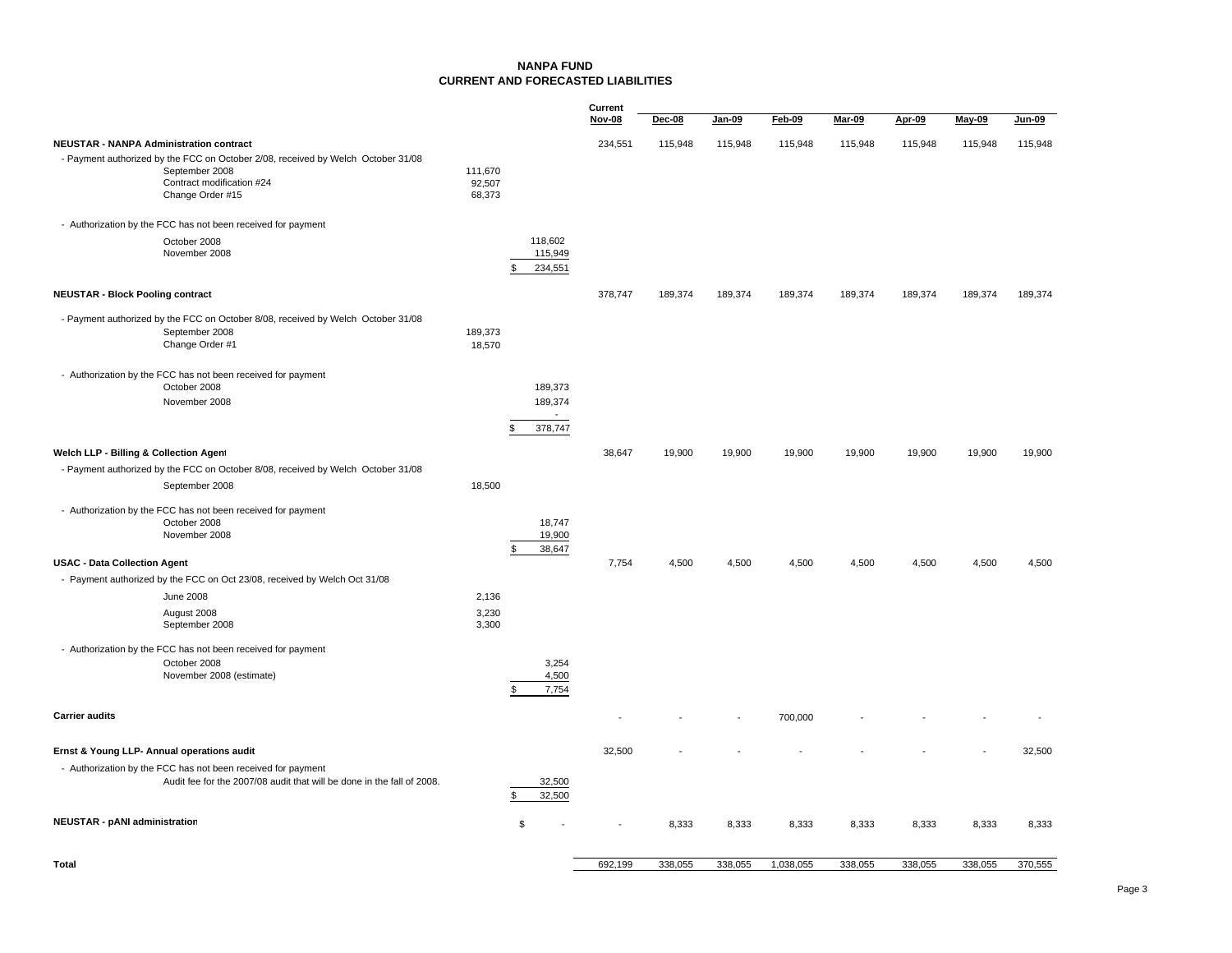### **NANPA FUNDCURRENT AND FORECASTED LIABILITIES**

|                                                                                                                                                     |                             |                                      | Current       |         |         |               |               |               |               |               |
|-----------------------------------------------------------------------------------------------------------------------------------------------------|-----------------------------|--------------------------------------|---------------|---------|---------|---------------|---------------|---------------|---------------|---------------|
|                                                                                                                                                     |                             |                                      | <b>Nov-08</b> | Dec-08  | Jan-09  | <b>Feb-09</b> | <b>Mar-09</b> | <b>Apr-09</b> | <b>May-09</b> | <b>Jun-09</b> |
| <b>NEUSTAR - NANPA Administration contract</b>                                                                                                      |                             |                                      | 234,551       | 115,948 | 115,948 | 115,948       | 115,948       | 115,948       | 115,948       | 115,948       |
| - Payment authorized by the FCC on October 2/08, received by Welch October 31/08<br>September 2008<br>Contract modification #24<br>Change Order #15 | 111,670<br>92,507<br>68,373 |                                      |               |         |         |               |               |               |               |               |
| - Authorization by the FCC has not been received for payment                                                                                        |                             |                                      |               |         |         |               |               |               |               |               |
| October 2008<br>November 2008                                                                                                                       |                             | 118,602<br>115,949<br>234,551<br>\$  |               |         |         |               |               |               |               |               |
| <b>NEUSTAR - Block Pooling contract</b>                                                                                                             |                             |                                      | 378,747       | 189,374 | 189,374 | 189,374       | 189,374       | 189,374       | 189,374       | 189,374       |
| - Payment authorized by the FCC on October 8/08, received by Welch October 31/08<br>September 2008<br>Change Order #1                               | 189,373<br>18,570           |                                      |               |         |         |               |               |               |               |               |
| - Authorization by the FCC has not been received for payment<br>October 2008                                                                        |                             | 189,373                              |               |         |         |               |               |               |               |               |
| November 2008                                                                                                                                       |                             | 189,374<br>$\blacksquare$<br>378,747 |               |         |         |               |               |               |               |               |
| Welch LLP - Billing & Collection Agent                                                                                                              |                             |                                      | 38,647        | 19,900  | 19,900  | 19,900        | 19,900        | 19,900        | 19,900        | 19,900        |
| - Payment authorized by the FCC on October 8/08, received by Welch October 31/08                                                                    |                             |                                      |               |         |         |               |               |               |               |               |
| September 2008                                                                                                                                      | 18,500                      |                                      |               |         |         |               |               |               |               |               |
| - Authorization by the FCC has not been received for payment<br>October 2008<br>November 2008                                                       |                             | 18,747<br>19.900<br>38,647<br>\$     |               |         |         |               |               |               |               |               |
| <b>USAC - Data Collection Agent</b>                                                                                                                 |                             |                                      | 7,754         | 4,500   | 4,500   | 4,500         | 4,500         | 4,500         | 4,500         | 4,500         |
| - Payment authorized by the FCC on Oct 23/08, received by Welch Oct 31/08                                                                           |                             |                                      |               |         |         |               |               |               |               |               |
| <b>June 2008</b>                                                                                                                                    | 2,136                       |                                      |               |         |         |               |               |               |               |               |
| August 2008<br>September 2008                                                                                                                       | 3,230<br>3,300              |                                      |               |         |         |               |               |               |               |               |
| - Authorization by the FCC has not been received for payment<br>October 2008<br>November 2008 (estimate)                                            |                             | 3,254<br>4,500<br>\$<br>7,754        |               |         |         |               |               |               |               |               |
| <b>Carrier audits</b>                                                                                                                               |                             |                                      |               |         |         | 700,000       |               |               |               |               |
| Ernst & Young LLP- Annual operations audit                                                                                                          |                             |                                      | 32,500        |         |         |               |               |               |               | 32,500        |
| - Authorization by the FCC has not been received for payment<br>Audit fee for the 2007/08 audit that will be done in the fall of 2008.              |                             | 32,500<br>\$<br>32,500               |               |         |         |               |               |               |               |               |
| <b>NEUSTAR - pANI administration</b>                                                                                                                |                             | \$                                   |               | 8,333   | 8,333   | 8,333         | 8,333         | 8,333         | 8,333         | 8,333         |
| <b>Total</b>                                                                                                                                        |                             |                                      | 692,199       | 338,055 | 338,055 | 1,038,055     | 338,055       | 338,055       | 338,055       | 370,555       |